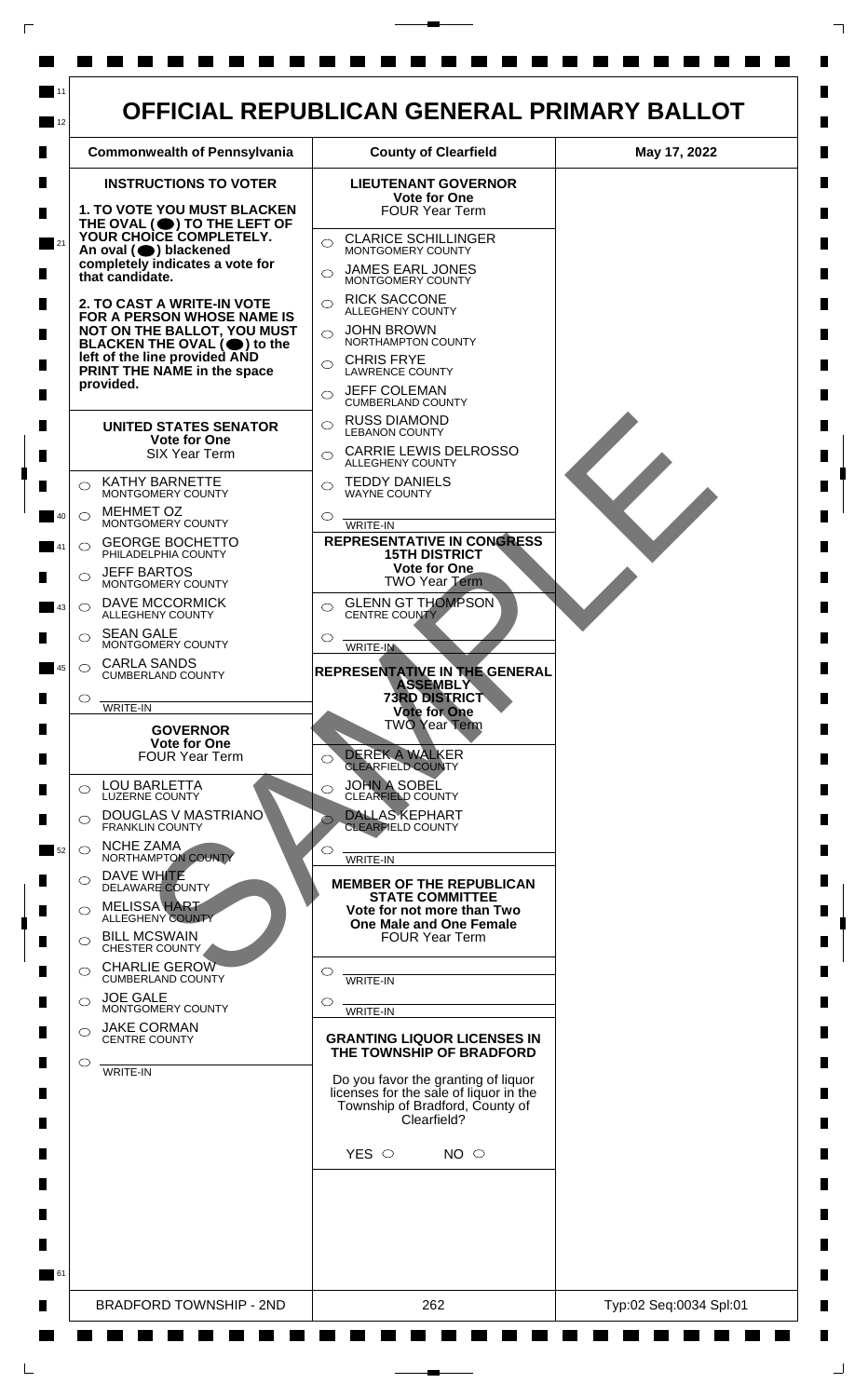| <b>Commonwealth of Pennsylvania</b>                                                                                                                                                                        | <b>County of Clearfield</b>                                                                                                                                                                                                  | May 17, 2022 |
|------------------------------------------------------------------------------------------------------------------------------------------------------------------------------------------------------------|------------------------------------------------------------------------------------------------------------------------------------------------------------------------------------------------------------------------------|--------------|
| <b>INSTRUCTIONS TO VOTER</b><br><b>1. TO VOTE YOU MUST BLACKEN</b><br>THE OVAL $($ <sup>(</sup> ) TO THE LEFT OF<br>YOUR CHOICE COMPLETELY.                                                                | <b>LIEUTENANT GOVERNOR</b><br><b>Vote for One</b><br><b>FOUR Year Term</b><br><b>CLARICE SCHILLINGER</b><br>$\bigcirc$<br>MONTGOMERY COUNTY                                                                                  |              |
| An oval (O) blackened<br>completely indicates a vote for<br>that candidate.                                                                                                                                | <b>JAMES EARL JONES</b><br>MONTGOMERY COUNTY<br><b>RICK SACCONE</b>                                                                                                                                                          |              |
| <b>2. TO CAST A WRITE-IN VOTE</b><br>FOR A PERSON WHOSE NAME IS<br>NOT ON THE BALLOT, YOU MUST<br>BLACKEN THE OVAL (O) to the<br>left of the line provided AND<br>PRINT THE NAME in the space<br>provided. | $\bigcirc$<br><b>ALLEGHENY COUNTY</b><br><b>JOHN BROWN</b><br>$\bigcirc$<br>NORTHAMPTON COUNTY<br><b>CHRIS FRYE</b><br>$\bigcirc$<br><b>LAWRENCE COUNTY</b><br><b>JEFF COLEMAN</b><br>$\bigcirc$<br><b>CUMBERLAND COUNTY</b> |              |
| <b>UNITED STATES SENATOR</b><br><b>Vote for One</b><br><b>SIX Year Term</b>                                                                                                                                | <b>RUSS DIAMOND</b><br>◯<br><b>LEBANON COUNTY</b><br><b>CARRIE LEWIS DELROSSO</b><br>$\bigcirc$<br>ALLEGHENY COUNTY                                                                                                          |              |
| <b>KATHY BARNETTE</b><br>$\bigcirc$<br>MONTGOMERY COUNTY<br><b>MEHMET OZ</b><br>$\bigcirc$                                                                                                                 | <b>TEDDY DANIELS</b><br>$\bigcirc$<br><b>WAYNE COUNTY</b><br>O                                                                                                                                                               |              |
| MONTGOMERY COUNTY<br><b>GEORGE BOCHETTO</b><br>$\circ$<br>PHILADELPHIA COUNTY<br><b>JEFF BARTOS</b>                                                                                                        | WRITE-IN<br><b>REPRESENTATIVE IN CONGRESS</b><br><b>15TH DISTRICT</b><br>Vote for One                                                                                                                                        |              |
| MONTGOMERY COUNTY<br><b>DAVE MCCORMICK</b><br>◯<br>ALLEGHENY COUNTY<br><b>SEAN GALE</b>                                                                                                                    | <b>TWO Year Term</b><br><b>GLENN GT THOMPSON</b><br>◯<br>CENTRE COUNTY                                                                                                                                                       |              |
| MONTGOMERY COUNTY<br><b>CARLA SANDS</b><br>$\circ$<br><b>CUMBERLAND COUNTY</b>                                                                                                                             | ◯<br>WRITE-IN<br>REPRESENTATIVE IN THE GENERAL<br><b>ASSEMBLY</b>                                                                                                                                                            |              |
| O<br><b>WRITE-IN</b><br><b>GOVERNOR</b><br><b>Vote for One</b><br><b>FOUR Year Term</b>                                                                                                                    | <b>73RD DISTRICT</b><br><b>Vote for One</b><br><b>TWO Year Term</b><br><b>DEREK A WALKER</b><br>◯<br><b>CLEARFIELD COUNTY</b>                                                                                                |              |
| <b>LOU BARLETTA</b><br>$\bigcirc$<br><b>LUZERNE COUNTY</b><br>DOUGLAS V MASTRIANO<br>$\circ$<br><b>FRANKLIN COUNTY</b>                                                                                     | <b>JOHN A SOBEL</b><br>$\circ$<br><b>CLEARFIELD COUNTY</b><br><b>DALLAS KEPHART</b><br><b>CLEARFIELD COUNTY</b>                                                                                                              |              |
| <b>NCHE ZAMA</b><br>$\circ$<br>NORTHAMPTON COUNTY<br>DAVE WHITE<br>◯<br><b>DELAWARE COUNTY</b><br><b>MELISSA HART</b><br>◯                                                                                 | $\circ$<br><b>WRITE-IN</b><br><b>MEMBER OF THE REPUBLICAN</b><br><b>STATE COMMITTEE</b>                                                                                                                                      |              |
| <b>ALLEGHENY COUNTY</b><br><b>BILL MCSWAIN</b><br>◯<br>CHESTER COUNTY<br><b>CHARLIE GEROW</b><br>◯                                                                                                         | Vote for not more than Two<br><b>One Male and One Female</b><br><b>FOUR Year Term</b><br>O                                                                                                                                   |              |
| <b>CUMBERLAND COUNTY</b><br><b>JOE GALE</b><br>◯<br>MONTGOMERY COUNTY                                                                                                                                      | <b>WRITE-IN</b><br>O<br>WRITE-IN                                                                                                                                                                                             |              |
| <b>JAKE CORMAN</b><br>$\bigcirc$<br><b>CENTRE COUNTY</b><br>$\circ$<br>WRITE-IN                                                                                                                            | <b>GRANTING LIQUOR LICENSES IN</b><br>THE TOWNSHIP OF BRADFORD<br>Do you favor the granting of liquor<br>licenses for the sale of liquor in the                                                                              |              |
|                                                                                                                                                                                                            | Township of Bradford, County of<br>Clearfield?<br>YES $\circ$<br>NO <sub>o</sub>                                                                                                                                             |              |
|                                                                                                                                                                                                            |                                                                                                                                                                                                                              |              |

 $\Box$ 

 $\Box$